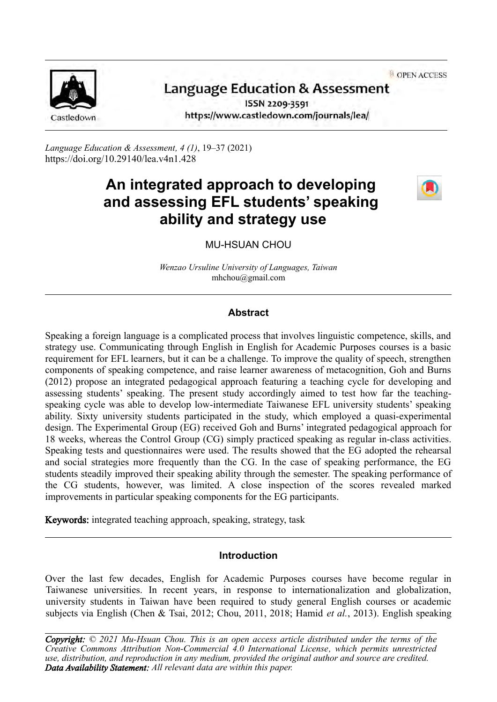**OPEN ACCESS** 



# **Language Education & Assessment**

ISSN 2209-3591 https://www.castledown.com/journals/lea/

*Language Education & Assessment, 4 (1)*, 19–37 (2021) <https://doi.org/10.29140/lea.v4n1.428>

# **An integrated approach to developing and assessing EFL students' speaking ability and strategy use**



MU-HSUAN CHOU

*Wenzao Ursuline University of Languages, Taiwan* mhchou@gmail.com

# **Abstract**

Speaking a foreign language is a complicated process that involves linguistic competence, skills, and strategy use. Communicating through English in English for Academic Purposes courses is a basic requirement for EFL learners, but it can be a challenge. To improve the quality of speech, strengthen components of speaking competence, and raise learner awareness of metacognition, Goh and Burns (2012) propose an integrated pedagogical approach featuring a teaching cycle for developing and assessing students' speaking. The present study accordingly aimed to test how far the teachingspeaking cycle was able to develop low-intermediate Taiwanese EFL university students' speaking ability. Sixty university students participated in the study, which employed a quasi-experimental design. The Experimental Group (EG) received Goh and Burns' integrated pedagogical approach for 18 weeks, whereas the Control Group (CG) simply practiced speaking as regular in-class activities. Speaking tests and questionnaires were used. The results showed that the EG adopted the rehearsal and social strategies more frequently than the CG. In the case of speaking performance, the EG students steadily improved their speaking ability through the semester. The speaking performance of the CG students, however, was limited. A close inspection of the scores revealed marked improvements in particular speaking components for the EG participants.

Keywords: integrated teaching approach, speaking, strategy, task

#### **Introduction**

Over the last few decades, English for Academic Purposes courses have become regular in Taiwanese universities. In recent years, in response to internationalization and globalization, university students in Taiwan have been required to study general English courses or academic subjects via English (Chen & Tsai, 2012; Chou, 2011, 2018; Hamid *et al.*, 2013). English speaking

*Copyright: © 2021 Mu-Hsuan Chou. This is an open access article distributed under the terms of the [Creative Commons Attribution Non-Commercial 4.0 International License](http://creativecommons.org/licenses/by-nc-nd/4.0), which permits unrestricted use, distribution, and reproduction in any medium, provided the original author and source are credited. Data Availability Statement: All relevant data are within this paper.*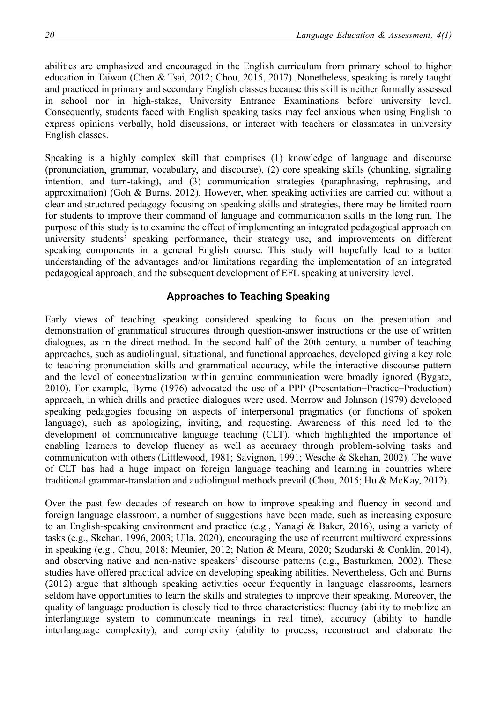abilities are emphasized and encouraged in the English curriculum from primary school to higher education in Taiwan (Chen & Tsai, 2012; Chou, 2015, 2017). Nonetheless, speaking is rarely taught and practiced in primary and secondary English classes because this skill is neither formally assessed in school nor in high-stakes, University Entrance Examinations before university level. Consequently, students faced with English speaking tasks may feel anxious when using English to express opinions verbally, hold discussions, or interact with teachers or classmates in university English classes.

Speaking is a highly complex skill that comprises (1) knowledge of language and discourse (pronunciation, grammar, vocabulary, and discourse), (2) core speaking skills (chunking, signaling intention, and turn-taking), and (3) communication strategies (paraphrasing, rephrasing, and approximation) (Goh & Burns, 2012). However, when speaking activities are carried out without a clear and structured pedagogy focusing on speaking skills and strategies, there may be limited room for students to improve their command of language and communication skills in the long run. The purpose of this study is to examine the effect of implementing an integrated pedagogical approach on university students' speaking performance, their strategy use, and improvements on different speaking components in a general English course. This study will hopefully lead to a better understanding of the advantages and/or limitations regarding the implementation of an integrated pedagogical approach, and the subsequent development of EFL speaking at university level.

# **Approaches to Teaching Speaking**

Early views of teaching speaking considered speaking to focus on the presentation and demonstration of grammatical structures through question-answer instructions or the use of written dialogues, as in the direct method. In the second half of the 20th century, a number of teaching approaches, such as audiolingual, situational, and functional approaches, developed giving a key role to teaching pronunciation skills and grammatical accuracy, while the interactive discourse pattern and the level of conceptualization within genuine communication were broadly ignored (Bygate, 2010). For example, Byrne (1976) advocated the use of a PPP (Presentation–Practice–Production) approach, in which drills and practice dialogues were used. Morrow and Johnson (1979) developed speaking pedagogies focusing on aspects of interpersonal pragmatics (or functions of spoken language), such as apologizing, inviting, and requesting. Awareness of this need led to the development of communicative language teaching (CLT), which highlighted the importance of enabling learners to develop fluency as well as accuracy through problem-solving tasks and communication with others (Littlewood, 1981; Savignon, 1991; Wesche & Skehan, 2002). The wave of CLT has had a huge impact on foreign language teaching and learning in countries where traditional grammar-translation and audiolingual methods prevail (Chou, 2015; Hu & McKay, 2012).

Over the past few decades of research on how to improve speaking and fluency in second and foreign language classroom, a number of suggestions have been made, such as increasing exposure to an English-speaking environment and practice (e.g., Yanagi & Baker, 2016), using a variety of tasks (e.g., Skehan, 1996, 2003; Ulla, 2020), encouraging the use of recurrent multiword expressions in speaking (e.g., Chou, 2018; Meunier, 2012; Nation & Meara, 2020; Szudarski & Conklin, 2014), and observing native and non-native speakers' discourse patterns (e.g., Basturkmen, 2002). These studies have offered practical advice on developing speaking abilities. Nevertheless, Goh and Burns (2012) argue that although speaking activities occur frequently in language classrooms, learners seldom have opportunities to learn the skills and strategies to improve their speaking. Moreover, the quality of language production is closely tied to three characteristics: fluency (ability to mobilize an interlanguage system to communicate meanings in real time), accuracy (ability to handle interlanguage complexity), and complexity (ability to process, reconstruct and elaborate the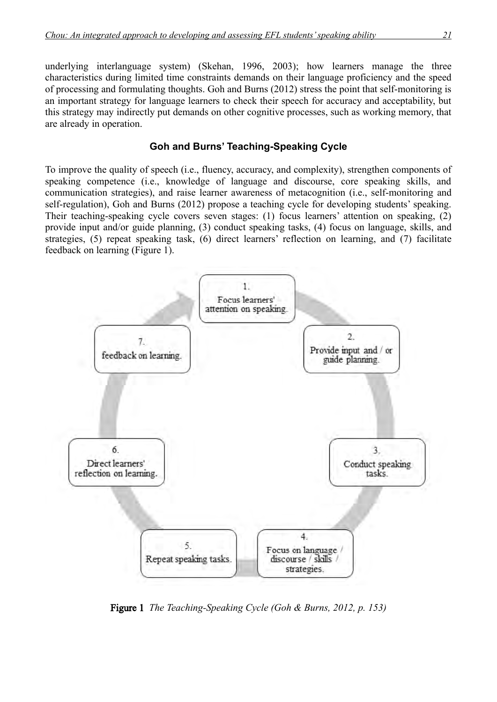underlying interlanguage system) (Skehan, 1996, 2003); how learners manage the three characteristics during limited time constraints demands on their language proficiency and the speed of processing and formulating thoughts. Goh and Burns (2012) stress the point that self-monitoring is an important strategy for language learners to check their speech for accuracy and acceptability, but this strategy may indirectly put demands on other cognitive processes, such as working memory, that are already in operation.

#### **Goh and Burns' Teaching-Speaking Cycle**

To improve the quality of speech (i.e., fluency, accuracy, and complexity), strengthen components of speaking competence (i.e., knowledge of language and discourse, core speaking skills, and communication strategies), and raise learner awareness of metacognition (i.e., self-monitoring and self-regulation), Goh and Burns (2012) propose a teaching cycle for developing students' speaking. Their teaching-speaking cycle covers seven stages: (1) focus learners' attention on speaking, (2) provide input and/or guide planning, (3) conduct speaking tasks, (4) focus on language, skills, and strategies, (5) repeat speaking task, (6) direct learners' reflection on learning, and (7) facilitate feedback on learning (Figure 1).



Figure 1 *The Teaching-Speaking Cycle (Goh & Burns, 2012, p. 153)*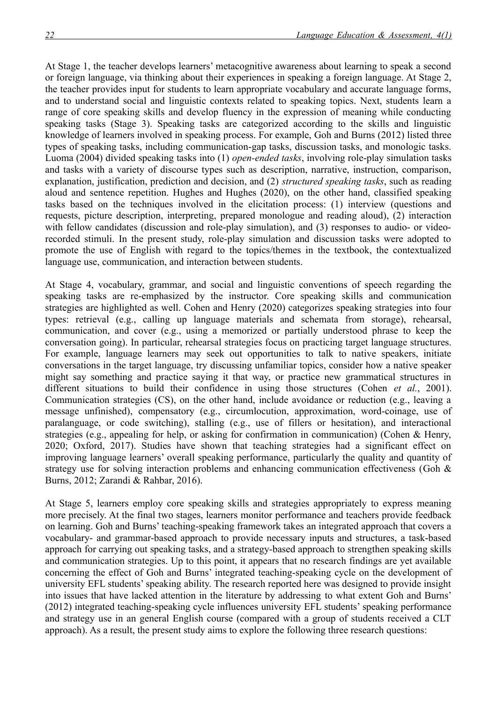At Stage 1, the teacher develops learners' metacognitive awareness about learning to speak a second or foreign language, via thinking about their experiences in speaking a foreign language. At Stage 2, the teacher provides input for students to learn appropriate vocabulary and accurate language forms, and to understand social and linguistic contexts related to speaking topics. Next, students learn a range of core speaking skills and develop fluency in the expression of meaning while conducting speaking tasks (Stage 3). Speaking tasks are categorized according to the skills and linguistic knowledge of learners involved in speaking process. For example, Goh and Burns (2012) listed three types of speaking tasks, including communication-gap tasks, discussion tasks, and monologic tasks. Luoma (2004) divided speaking tasks into (1) *open-ended tasks*, involving role-play simulation tasks and tasks with a variety of discourse types such as description, narrative, instruction, comparison, explanation, justification, prediction and decision, and (2) *structured speaking tasks*, such as reading aloud and sentence repetition. Hughes and Hughes (2020), on the other hand, classified speaking tasks based on the techniques involved in the elicitation process: (1) interview (questions and requests, picture description, interpreting, prepared monologue and reading aloud), (2) interaction with fellow candidates (discussion and role-play simulation), and (3) responses to audio- or videorecorded stimuli. In the present study, role-play simulation and discussion tasks were adopted to promote the use of English with regard to the topics/themes in the textbook, the contextualized language use, communication, and interaction between students.

At Stage 4, vocabulary, grammar, and social and linguistic conventions of speech regarding the speaking tasks are re-emphasized by the instructor. Core speaking skills and communication strategies are highlighted as well. Cohen and Henry (2020) categorizes speaking strategies into four types: retrieval (e.g., calling up language materials and schemata from storage), rehearsal, communication, and cover (e.g., using a memorized or partially understood phrase to keep the conversation going). In particular, rehearsal strategies focus on practicing target language structures. For example, language learners may seek out opportunities to talk to native speakers, initiate conversations in the target language, try discussing unfamiliar topics, consider how a native speaker might say something and practice saying it that way, or practice new grammatical structures in different situations to build their confidence in using those structures (Cohen *et al.*, 2001). Communication strategies (CS), on the other hand, include avoidance or reduction (e.g., leaving a message unfinished), compensatory (e.g., circumlocution, approximation, word-coinage, use of paralanguage, or code switching), stalling (e.g., use of fillers or hesitation), and interactional strategies (e.g., appealing for help, or asking for confirmation in communication) (Cohen & Henry, 2020; Oxford, 2017). Studies have shown that teaching strategies had a significant effect on improving language learners' overall speaking performance, particularly the quality and quantity of strategy use for solving interaction problems and enhancing communication effectiveness (Goh & Burns, 2012; Zarandi & Rahbar, 2016).

At Stage 5, learners employ core speaking skills and strategies appropriately to express meaning more precisely. At the final two stages, learners monitor performance and teachers provide feedback on learning. Goh and Burns' teaching-speaking framework takes an integrated approach that covers a vocabulary- and grammar-based approach to provide necessary inputs and structures, a task-based approach for carrying out speaking tasks, and a strategy-based approach to strengthen speaking skills and communication strategies. Up to this point, it appears that no research findings are yet available concerning the effect of Goh and Burns' integrated teaching-speaking cycle on the development of university EFL students' speaking ability. The research reported here was designed to provide insight into issues that have lacked attention in the literature by addressing to what extent Goh and Burns' (2012) integrated teaching-speaking cycle influences university EFL students' speaking performance and strategy use in an general English course (compared with a group of students received a CLT approach). As a result, the present study aims to explore the following three research questions: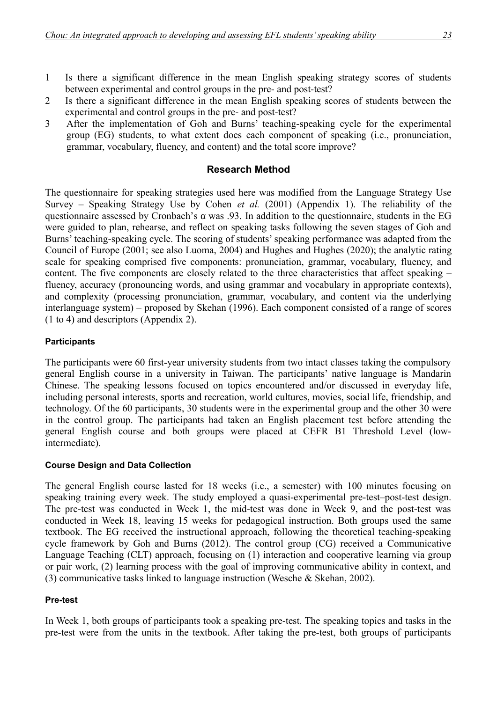- 1 Is there a significant difference in the mean English speaking strategy scores of students between experimental and control groups in the pre- and post-test?
- 2 Is there a significant difference in the mean English speaking scores of students between the experimental and control groups in the pre- and post-test?
- 3 After the implementation of Goh and Burns' teaching-speaking cycle for the experimental group (EG) students, to what extent does each component of speaking (i.e., pronunciation, grammar, vocabulary, fluency, and content) and the total score improve?

#### **Research Method**

The questionnaire for speaking strategies used here was modified from the Language Strategy Use Survey – Speaking Strategy Use by Cohen *et al.* (2001) (Appendix 1). The reliability of the questionnaire assessed by Cronbach's  $\alpha$  was .93. In addition to the questionnaire, students in the EG were guided to plan, rehearse, and reflect on speaking tasks following the seven stages of Goh and Burns' teaching-speaking cycle. The scoring of students' speaking performance was adapted from the Council of Europe (2001; see also Luoma, 2004) and Hughes and Hughes (2020); the analytic rating scale for speaking comprised five components: pronunciation, grammar, vocabulary, fluency, and content. The five components are closely related to the three characteristics that affect speaking – fluency, accuracy (pronouncing words, and using grammar and vocabulary in appropriate contexts), and complexity (processing pronunciation, grammar, vocabulary, and content via the underlying interlanguage system) – proposed by Skehan (1996). Each component consisted of a range of scores (1 to 4) and descriptors (Appendix 2).

#### **Participants**

The participants were 60 first-year university students from two intact classes taking the compulsory general English course in a university in Taiwan. The participants' native language is Mandarin Chinese. The speaking lessons focused on topics encountered and/or discussed in everyday life, including personal interests, sports and recreation, world cultures, movies, social life, friendship, and technology. Of the 60 participants, 30 students were in the experimental group and the other 30 were in the control group. The participants had taken an English placement test before attending the general English course and both groups were placed at CEFR B1 Threshold Level (lowintermediate).

#### **Course Design and Data Collection**

The general English course lasted for 18 weeks (i.e., a semester) with 100 minutes focusing on speaking training every week. The study employed a quasi-experimental pre-test–post-test design. The pre-test was conducted in Week 1, the mid-test was done in Week 9, and the post-test was conducted in Week 18, leaving 15 weeks for pedagogical instruction. Both groups used the same textbook. The EG received the instructional approach, following the theoretical teaching-speaking cycle framework by Goh and Burns (2012). The control group (CG) received a Communicative Language Teaching (CLT) approach, focusing on (1) interaction and cooperative learning via group or pair work, (2) learning process with the goal of improving communicative ability in context, and (3) communicative tasks linked to language instruction (Wesche & Skehan, 2002).

#### **Pre-test**

In Week 1, both groups of participants took a speaking pre-test. The speaking topics and tasks in the pre-test were from the units in the textbook. After taking the pre-test, both groups of participants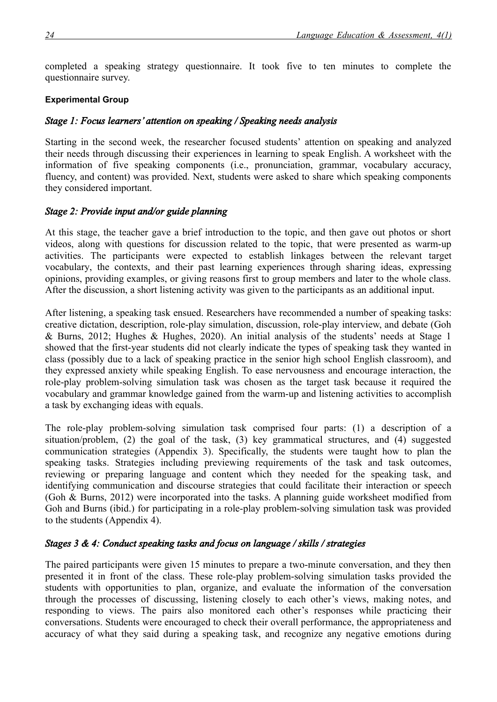completed a speaking strategy questionnaire. It took five to ten minutes to complete the questionnaire survey.

#### **Experimental Group**

#### *Stage 1: Focus learners' attention on speaking / Speaking needs analysis*

Starting in the second week, the researcher focused students' attention on speaking and analyzed their needs through discussing their experiences in learning to speak English. A worksheet with the information of five speaking components (i.e., pronunciation, grammar, vocabulary accuracy, fluency, and content) was provided. Next, students were asked to share which speaking components they considered important.

#### *Stage 2: Provide input and/or guide planning*

At this stage, the teacher gave a brief introduction to the topic, and then gave out photos or short videos, along with questions for discussion related to the topic, that were presented as warm-up activities. The participants were expected to establish linkages between the relevant target vocabulary, the contexts, and their past learning experiences through sharing ideas, expressing opinions, providing examples, or giving reasons first to group members and later to the whole class. After the discussion, a short listening activity was given to the participants as an additional input.

After listening, a speaking task ensued. Researchers have recommended a number of speaking tasks: creative dictation, description, role-play simulation, discussion, role-play interview, and debate (Goh & Burns, 2012; Hughes & Hughes, 2020). An initial analysis of the students' needs at Stage 1 showed that the first-year students did not clearly indicate the types of speaking task they wanted in class (possibly due to a lack of speaking practice in the senior high school English classroom), and they expressed anxiety while speaking English. To ease nervousness and encourage interaction, the role-play problem-solving simulation task was chosen as the target task because it required the vocabulary and grammar knowledge gained from the warm-up and listening activities to accomplish a task by exchanging ideas with equals.

The role-play problem-solving simulation task comprised four parts: (1) a description of a situation/problem, (2) the goal of the task, (3) key grammatical structures, and (4) suggested communication strategies (Appendix 3). Specifically, the students were taught how to plan the speaking tasks. Strategies including previewing requirements of the task and task outcomes, reviewing or preparing language and content which they needed for the speaking task, and identifying communication and discourse strategies that could facilitate their interaction or speech (Goh & Burns, 2012) were incorporated into the tasks. A planning guide worksheet modified from Goh and Burns (ibid.) for participating in a role-play problem-solving simulation task was provided to the students (Appendix 4).

#### *Stages 3 & 4: Conduct speaking tasks and focus on language / skills / strategies*

The paired participants were given 15 minutes to prepare a two-minute conversation, and they then presented it in front of the class. These role-play problem-solving simulation tasks provided the students with opportunities to plan, organize, and evaluate the information of the conversation through the processes of discussing, listening closely to each other's views, making notes, and responding to views. The pairs also monitored each other's responses while practicing their conversations. Students were encouraged to check their overall performance, the appropriateness and accuracy of what they said during a speaking task, and recognize any negative emotions during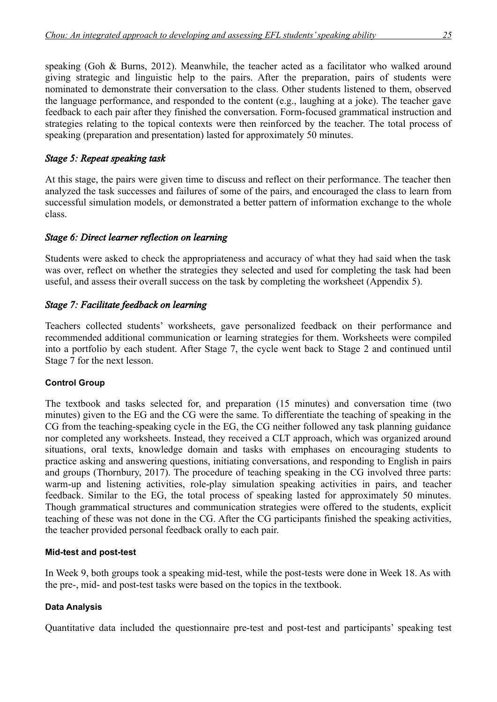speaking (Goh & Burns, 2012). Meanwhile, the teacher acted as a facilitator who walked around giving strategic and linguistic help to the pairs. After the preparation, pairs of students were nominated to demonstrate their conversation to the class. Other students listened to them, observed the language performance, and responded to the content (e.g., laughing at a joke). The teacher gave feedback to each pair after they finished the conversation. Form-focused grammatical instruction and strategies relating to the topical contexts were then reinforced by the teacher. The total process of speaking (preparation and presentation) lasted for approximately 50 minutes.

# *Stage 5: Repeat speaking task*

At this stage, the pairs were given time to discuss and reflect on their performance. The teacher then analyzed the task successes and failures of some of the pairs, and encouraged the class to learn from successful simulation models, or demonstrated a better pattern of information exchange to the whole class.

# *Stage 6: Direct learner reflection on learning*

Students were asked to check the appropriateness and accuracy of what they had said when the task was over, reflect on whether the strategies they selected and used for completing the task had been useful, and assess their overall success on the task by completing the worksheet (Appendix 5).

# *Stage 7: Facilitate feedback on learning*

Teachers collected students' worksheets, gave personalized feedback on their performance and recommended additional communication or learning strategies for them. Worksheets were compiled into a portfolio by each student. After Stage 7, the cycle went back to Stage 2 and continued until Stage 7 for the next lesson.

#### **Control Group**

The textbook and tasks selected for, and preparation (15 minutes) and conversation time (two minutes) given to the EG and the CG were the same. To differentiate the teaching of speaking in the CG from the teaching-speaking cycle in the EG, the CG neither followed any task planning guidance nor completed any worksheets. Instead, they received a CLT approach, which was organized around situations, oral texts, knowledge domain and tasks with emphases on encouraging students to practice asking and answering questions, initiating conversations, and responding to English in pairs and groups (Thornbury, 2017). The procedure of teaching speaking in the CG involved three parts: warm-up and listening activities, role-play simulation speaking activities in pairs, and teacher feedback. Similar to the EG, the total process of speaking lasted for approximately 50 minutes. Though grammatical structures and communication strategies were offered to the students, explicit teaching of these was not done in the CG. After the CG participants finished the speaking activities, the teacher provided personal feedback orally to each pair.

#### **Mid-test and post-test**

In Week 9, both groups took a speaking mid-test, while the post-tests were done in Week 18. As with the pre-, mid- and post-test tasks were based on the topics in the textbook.

#### **Data Analysis**

Quantitative data included the questionnaire pre-test and post-test and participants' speaking test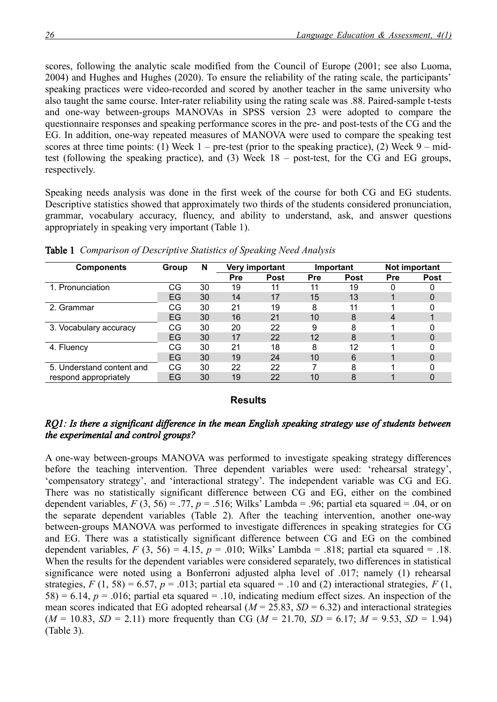scores, following the analytic scale modified from the Council of Europe (2001; see also Luoma, 2004) and Hughes and Hughes (2020). To ensure the reliability of the rating scale, the participants' speaking practices were video-recorded and scored by another teacher in the same university who also taught the same course. Inter-rater reliability using the rating scale was .88. Paired-sample t-tests and one-way between-groups MANOVAs in SPSS version 23 were adopted to compare the questionnaire responses and speaking performance scores in the pre- and post-tests of the CG and the EG. In addition, one-way repeated measures of MANOVA were used to compare the speaking test scores at three time points: (1) Week  $1$  – pre-test (prior to the speaking practice), (2) Week  $9$  – midtest (following the speaking practice), and (3) Week 18 – post-test, for the CG and EG groups, respectively.

Speaking needs analysis was done in the first week of the course for both CG and EG students. Descriptive statistics showed that approximately two thirds of the students considered pronunciation, grammar, vocabulary accuracy, fluency, and ability to understand, ask, and answer questions appropriately in speaking very important (Table 1).

| <b>Components</b>         | Group | N  |            | Very important |            | <b>Important</b> | Not important |             |
|---------------------------|-------|----|------------|----------------|------------|------------------|---------------|-------------|
|                           |       |    | <b>Pre</b> | <b>Post</b>    | <b>Pre</b> | <b>Post</b>      | <b>Pre</b>    | <b>Post</b> |
| 1. Pronunciation          | CG    | 30 | 19         | 11             | 11         | 19               | 0             |             |
|                           | EG    | 30 | 14         | 17             | 15         | 13               |               |             |
| 2. Grammar                | СG    | 30 | 21         | 19             | 8          | 11               |               |             |
|                           | EG    | 30 | 16         | 21             | 10         | 8                | 4             |             |
| 3. Vocabulary accuracy    | CG    | 30 | 20         | 22             | 9          | 8                |               |             |
|                           | EG    | 30 | 17         | 22             | 12         | 8                |               |             |
| 4. Fluency                | CG    | 30 | 21         | 18             | 8          | 12               |               |             |
|                           | EG    | 30 | 19         | 24             | 10         | 6                |               | 0           |
| 5. Understand content and | CG    | 30 | 22         | 22             |            | 8                |               |             |
| respond appropriately     | EG    | 30 | 19         | 22             | 10         | 8                |               |             |

Table 1 *Comparison of Descriptive Statistics of Speaking Need Analysis* 

#### **Results**

#### *RQ1: Is there a significant difference in the mean English speaking strategy use of students between the experimental and control groups?*

A one-way between-groups MANOVA was performed to investigate speaking strategy differences before the teaching intervention. Three dependent variables were used: 'rehearsal strategy', 'compensatory strategy', and 'interactional strategy'. The independent variable was CG and EG. There was no statistically significant difference between CG and EG, either on the combined dependent variables,  $F(3, 56) = .77$ ,  $p = .516$ ; Wilks' Lambda = .96; partial eta squared = .04, or on the separate dependent variables (Table 2). After the teaching intervention, another one-way between-groups MANOVA was performed to investigate differences in speaking strategies for CG and EG. There was a statistically significant difference between CG and EG on the combined dependent variables,  $F(3, 56) = 4.15$ ,  $p = .010$ ; Wilks' Lambda = .818; partial eta squared = .18. When the results for the dependent variables were considered separately, two differences in statistical significance were noted using a Bonferroni adjusted alpha level of .017; namely (1) rehearsal strategies,  $F(1, 58) = 6.57$ ,  $p = .013$ ; partial eta squared = .10 and (2) interactional strategies,  $F(1, 58)$ 58) = 6.14,  $p = 0.016$ ; partial eta squared = .10, indicating medium effect sizes. An inspection of the mean scores indicated that EG adopted rehearsal  $(M = 25.83, SD = 6.32)$  and interactional strategies  $(M = 10.83, SD = 2.11)$  more frequently than CG  $(M = 21.70, SD = 6.17; M = 9.53, SD = 1.94)$ (Table 3).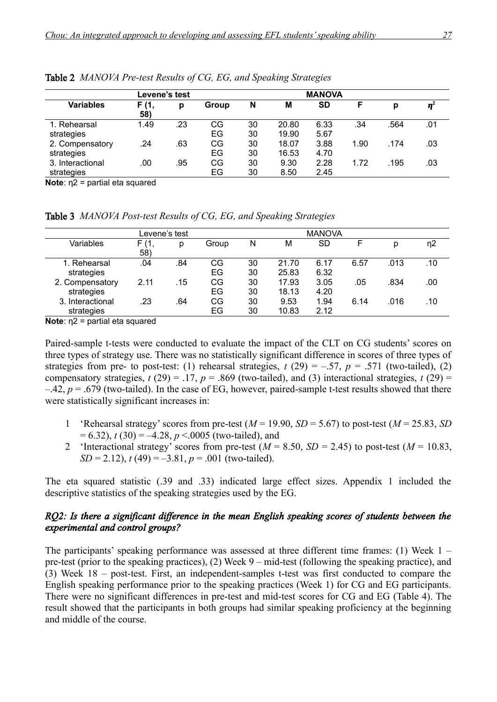|                                |             | Levene's test |          |          |                | <b>MANOVA</b> |      |      |     |
|--------------------------------|-------------|---------------|----------|----------|----------------|---------------|------|------|-----|
| <b>Variables</b>               | F(1,<br>58) | p             | Group    | N        | M              | <b>SD</b>     |      | p    |     |
| 1. Rehearsal<br>strategies     | 1.49        | .23           | CG<br>EG | 30<br>30 | 20.80<br>19.90 | 6.33<br>5.67  | .34  | .564 | .01 |
| 2. Compensatory<br>strategies  | .24         | .63           | CG<br>EG | 30<br>30 | 18.07<br>16.53 | 3.88<br>4.70  | 1.90 | .174 | .03 |
| 3. Interactional<br>strategies | .00         | .95           | CG<br>EG | 30<br>30 | 9.30<br>8.50   | 2.28<br>2.45  | 1.72 | .195 | .03 |

Table 2 *MANOVA Pre-test Results of CG, EG, and Speaking Strategies*

**Note**: η2 = partial eta squared

Table 3 *MANOVA Post-test Results of CG, EG, and Speaking Strategies*

|                                |             | Levene's test |          |          |                | <b>MANOVA</b> |      |      |     |
|--------------------------------|-------------|---------------|----------|----------|----------------|---------------|------|------|-----|
| Variables                      | F(1)<br>58) | р             | Group    | N        | м              | SD            |      | D    | η2  |
| 1. Rehearsal<br>strategies     | .04         | .84           | CG<br>EG | 30<br>30 | 21.70<br>25.83 | 6.17<br>6.32  | 6.57 | .013 | .10 |
| 2. Compensatory<br>strategies  | 2.11        | .15           | CG<br>EG | 30<br>30 | 17.93<br>18.13 | 3.05<br>4.20  | .05  | .834 | .00 |
| 3. Interactional<br>strategies | .23         | .64           | CG<br>EG | 30<br>30 | 9.53<br>10.83  | 1.94<br>2.12  | 6.14 | .016 | .10 |

**Note**: η2 = partial eta squared

Paired-sample t-tests were conducted to evaluate the impact of the CLT on CG students' scores on three types of strategy use. There was no statistically significant difference in scores of three types of strategies from pre- to post-test: (1) rehearsal strategies,  $t(29) = -.57$ ,  $p = .571$  (two-tailed), (2) compensatory strategies,  $t(29) = .17$ ,  $p = .869$  (two-tailed), and (3) interactional strategies,  $t(29) =$  $-42$ ,  $p = .679$  (two-tailed). In the case of EG, however, paired-sample t-test results showed that there were statistically significant increases in:

- 1 'Rehearsal strategy' scores from pre-test  $(M = 19.90, SD = 5.67)$  to post-test  $(M = 25.83, SD$  $= 6.32$ ),  $t(30) = -4.28$ ,  $p \le 0.0005$  (two-tailed), and
- 2 'Interactional strategy' scores from pre-test  $(M = 8.50, SD = 2.45)$  to post-test  $(M = 10.83,$  $SD = 2.12$ ,  $t(49) = -3.81$ ,  $p = .001$  (two-tailed).

The eta squared statistic (.39 and .33) indicated large effect sizes. Appendix 1 included the descriptive statistics of the speaking strategies used by the EG.

#### *RQ2: Is there a significant difference in the mean English speaking scores of students between the experimental and control groups?*

The participants' speaking performance was assessed at three different time frames: (1) Week 1 – pre-test (prior to the speaking practices), (2) Week 9 – mid-test (following the speaking practice), and (3) Week 18 – post-test. First, an independent-samples t-test was first conducted to compare the English speaking performance prior to the speaking practices (Week 1) for CG and EG participants. There were no significant differences in pre-test and mid-test scores for CG and EG (Table 4). The result showed that the participants in both groups had similar speaking proficiency at the beginning and middle of the course.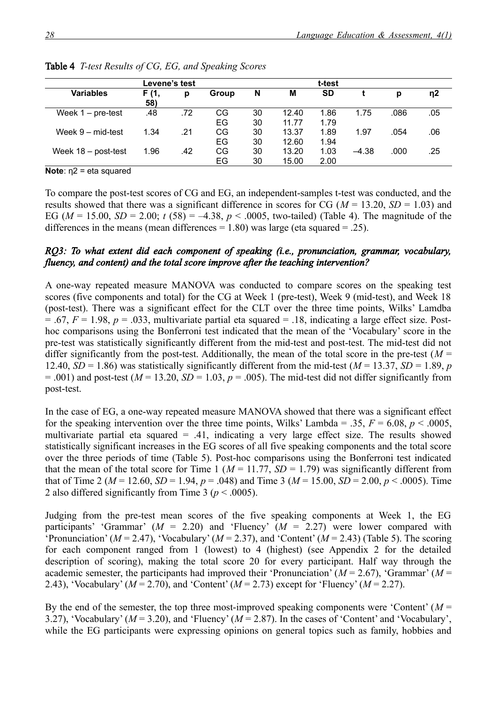|                       |              | Levene's test |          |          |                | t-test       |         |      |     |
|-----------------------|--------------|---------------|----------|----------|----------------|--------------|---------|------|-----|
| <b>Variables</b>      | F (1,<br>58) | p             | Group    | N        | M              | <b>SD</b>    |         | D    | η2  |
| Week $1$ – pre-test   | .48          | .72           | СG<br>EG | 30<br>30 | 12.40<br>11.77 | 1.86<br>1.79 | 1.75    | .086 | .05 |
| Week $9 - mid-test$   | 1.34         | .21           | CG<br>EG | 30<br>30 | 13.37<br>12.60 | 1.89<br>1.94 | 1.97    | .054 | .06 |
| Week $18 - post-test$ | 1.96         | .42           | CG<br>EG | 30<br>30 | 13.20<br>15.00 | 1.03<br>2.00 | $-4.38$ | .000 | .25 |

Table 4 *T-test Results of CG, EG, and Speaking Scores*

**Note**: η2 = eta squared

To compare the post-test scores of CG and EG, an independent-samples t-test was conducted, and the results showed that there was a significant difference in scores for CG ( $M = 13.20$ ,  $SD = 1.03$ ) and EG ( $M = 15.00$ ,  $SD = 2.00$ ;  $t(58) = -4.38$ ,  $p < .0005$ , two-tailed) (Table 4). The magnitude of the differences in the means (mean differences  $= 1.80$ ) was large (eta squared  $= .25$ ).

#### *RQ3: To what extent did each component of speaking (i.e., pronunciation, grammar, vocabulary, fluency, and content) and the total score improve after the teaching intervention?*

A one-way repeated measure MANOVA was conducted to compare scores on the speaking test scores (five components and total) for the CG at Week 1 (pre-test), Week 9 (mid-test), and Week 18 (post-test). There was a significant effect for the CLT over the three time points, Wilks' Lamdba  $= .67$ ,  $F = 1.98$ ,  $p = .033$ , multivariate partial eta squared  $= .18$ , indicating a large effect size. Posthoc comparisons using the Bonferroni test indicated that the mean of the 'Vocabulary' score in the pre-test was statistically significantly different from the mid-test and post-test. The mid-test did not differ significantly from the post-test. Additionally, the mean of the total score in the pre-test ( $M =$ 12.40,  $SD = 1.86$ ) was statistically significantly different from the mid-test ( $M = 13.37$ ,  $SD = 1.89$ , *p*  $= .001$ ) and post-test ( $M = 13.20$ ,  $SD = 1.03$ ,  $p = .005$ ). The mid-test did not differ significantly from post-test.

In the case of EG, a one-way repeated measure MANOVA showed that there was a significant effect for the speaking intervention over the three time points, Wilks' Lambda = .35,  $F = 6.08$ ,  $p < .0005$ , multivariate partial eta squared = .41, indicating a very large effect size. The results showed statistically significant increases in the EG scores of all five speaking components and the total score over the three periods of time (Table 5). Post-hoc comparisons using the Bonferroni test indicated that the mean of the total score for Time 1 ( $M = 11.77$ ,  $SD = 1.79$ ) was significantly different from that of Time 2 ( $M = 12.60$ ,  $SD = 1.94$ ,  $p = .048$ ) and Time 3 ( $M = 15.00$ ,  $SD = 2.00$ ,  $p < .0005$ ). Time 2 also differed significantly from Time  $3 (p < .0005)$ .

Judging from the pre-test mean scores of the five speaking components at Week 1, the EG participants' 'Grammar'  $(M = 2.20)$  and 'Fluency'  $(M = 2.27)$  were lower compared with 'Pronunciation' ( $M = 2.47$ ), 'Vocabulary' ( $M = 2.37$ ), and 'Content' ( $M = 2.43$ ) (Table 5). The scoring for each component ranged from 1 (lowest) to 4 (highest) (see Appendix 2 for the detailed description of scoring), making the total score 20 for every participant. Half way through the academic semester, the participants had improved their 'Pronunciation'  $(M = 2.67)$ , 'Grammar'  $(M = 2.67)$ 2.43), 'Vocabulary' ( $M = 2.70$ ), and 'Content' ( $M = 2.73$ ) except for 'Fluency' ( $M = 2.27$ ).

By the end of the semester, the top three most-improved speaking components were 'Content' ( $M =$ 3.27), 'Vocabulary' ( $M = 3.20$ ), and 'Fluency' ( $M = 2.87$ ). In the cases of 'Content' and 'Vocabulary', while the EG participants were expressing opinions on general topics such as family, hobbies and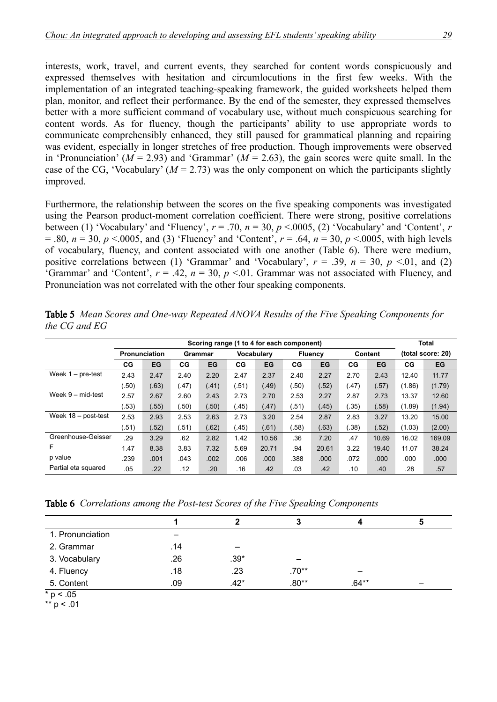interests, work, travel, and current events, they searched for content words conspicuously and expressed themselves with hesitation and circumlocutions in the first few weeks. With the implementation of an integrated teaching-speaking framework, the guided worksheets helped them plan, monitor, and reflect their performance. By the end of the semester, they expressed themselves better with a more sufficient command of vocabulary use, without much conspicuous searching for content words. As for fluency, though the participants' ability to use appropriate words to communicate comprehensibly enhanced, they still paused for grammatical planning and repairing was evident, especially in longer stretches of free production. Though improvements were observed in 'Pronunciation' ( $M = 2.93$ ) and 'Grammar' ( $M = 2.63$ ), the gain scores were quite small. In the case of the CG, 'Vocabulary' ( $M = 2.73$ ) was the only component on which the participants slightly improved.

Furthermore, the relationship between the scores on the five speaking components was investigated using the Pearson product-moment correlation coefficient. There were strong, positive correlations between (1) 'Vocabulary' and 'Fluency',  $r = .70$ ,  $n = 30$ ,  $p < .0005$ , (2) 'Vocabulary' and 'Content',  $r$ = .80,  $n = 30$ ,  $p < .0005$ , and (3) 'Fluency' and 'Content',  $r = .64$ ,  $n = 30$ ,  $p < .0005$ , with high levels of vocabulary, fluency, and content associated with one another (Table 6). There were medium, positive correlations between (1) 'Grammar' and 'Vocabulary',  $r = .39$ ,  $n = 30$ ,  $p < .01$ , and (2) 'Grammar' and 'Content',  $r = .42$ ,  $n = 30$ ,  $p < .01$ . Grammar was not associated with Fluency, and Pronunciation was not correlated with the other four speaking components.

|                       | Scoring range (1 to 4 for each component) |           |         |           |                   |       |                |           |                     | Total |                   |        |
|-----------------------|-------------------------------------------|-----------|---------|-----------|-------------------|-------|----------------|-----------|---------------------|-------|-------------------|--------|
|                       | <b>Pronunciation</b>                      |           | Grammar |           | <b>Vocabularv</b> |       | <b>Fluency</b> |           | Content             |       | (total score: 20) |        |
|                       | CG                                        | <b>EG</b> | CG      | <b>EG</b> | CG                | EG    | CG             | <b>EG</b> | СG                  | EG    | CG                | EG     |
| Week $1$ – pre-test   | 2.43                                      | 2.47      | 2.40    | 2.20      | 2.47              | 2.37  | 2.40           | 2.27      | 2.70                | 2.43  | 12.40             | 11.77  |
|                       | .50)                                      | (63)      | (47)    | (.41)     | .51)              | (49)  | .50)           | (.52)     | (47)                | (.57) | (1.86)            | (1.79) |
| Week $9 - mid-test$   | 2.57                                      | 2.67      | 2.60    | 2.43      | 2.73              | 2.70  | 2.53           | 2.27      | 2.87                | 2.73  | 13.37             | 12.60  |
|                       | .53)                                      | .55)      | .50)    | .50)      | .45)              | (47)  | .51)           | (.45)     | $\left( .35\right)$ | .58)  | (1.89)            | (1.94) |
| Week $18 -$ post-test | 2.53                                      | 2.93      | 2.53    | 2.63      | 2.73              | 3.20  | 2.54           | 2.87      | 2.83                | 3.27  | 13.20             | 15.00  |
|                       | .51)                                      | (52)      | .51)    | (.62)     | .45)              | (.61) | .58)           | (.63)     | (38)                | (.52) | (1.03)            | (2.00) |
| Greenhouse-Geisser    | .29                                       | 3.29      | .62     | 2.82      | 1.42              | 10.56 | .36            | 7.20      | .47                 | 10.69 | 16.02             | 169.09 |
| F                     | 1.47                                      | 8.38      | 3.83    | 7.32      | 5.69              | 20.71 | .94            | 20.61     | 3.22                | 19.40 | 11.07             | 38.24  |
| p value               | .239                                      | .001      | .043    | .002      | .006              | .000  | .388           | .000      | .072                | .000  | .000              | .000   |
| Partial eta squared   | .05                                       | .22       | .12     | .20       | .16               | .42   | .03            | .42       | .10                 | .40   | .28               | .57    |

Table 5 *Mean Scores and One-way Repeated ANOVA Results of the Five Speaking Components for the CG and EG*

Table 6 *Correlations among the Post-test Scores of the Five Speaking Components*

| 1. Pronunciation |     |        |         |          |   |
|------------------|-----|--------|---------|----------|---|
| 2. Grammar       | .14 |        |         |          |   |
| 3. Vocabulary    | .26 | $.39*$ |         |          |   |
| 4. Fluency       | .18 | .23    | $.70**$ |          |   |
| 5. Content       | .09 | $.42*$ | $.80**$ | $.64***$ | _ |
| $* n \times n$   |     |        |         |          |   |

\* p < .05 \*\*  $p < .01$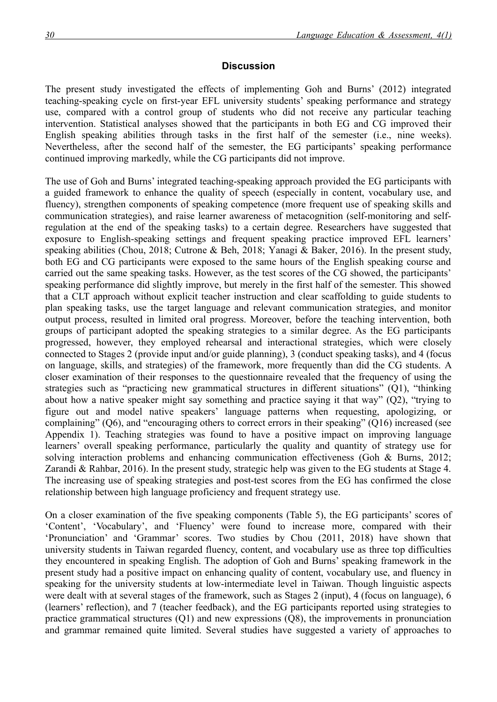#### **Discussion**

The present study investigated the effects of implementing Goh and Burns' (2012) integrated teaching-speaking cycle on first-year EFL university students' speaking performance and strategy use, compared with a control group of students who did not receive any particular teaching intervention. Statistical analyses showed that the participants in both EG and CG improved their English speaking abilities through tasks in the first half of the semester (i.e., nine weeks). Nevertheless, after the second half of the semester, the EG participants' speaking performance continued improving markedly, while the CG participants did not improve.

The use of Goh and Burns' integrated teaching-speaking approach provided the EG participants with a guided framework to enhance the quality of speech (especially in content, vocabulary use, and fluency), strengthen components of speaking competence (more frequent use of speaking skills and communication strategies), and raise learner awareness of metacognition (self-monitoring and selfregulation at the end of the speaking tasks) to a certain degree. Researchers have suggested that exposure to English-speaking settings and frequent speaking practice improved EFL learners' speaking abilities (Chou, 2018; Cutrone & Beh, 2018; Yanagi & Baker, 2016). In the present study, both EG and CG participants were exposed to the same hours of the English speaking course and carried out the same speaking tasks. However, as the test scores of the CG showed, the participants' speaking performance did slightly improve, but merely in the first half of the semester. This showed that a CLT approach without explicit teacher instruction and clear scaffolding to guide students to plan speaking tasks, use the target language and relevant communication strategies, and monitor output process, resulted in limited oral progress. Moreover, before the teaching intervention, both groups of participant adopted the speaking strategies to a similar degree. As the EG participants progressed, however, they employed rehearsal and interactional strategies, which were closely connected to Stages 2 (provide input and/or guide planning), 3 (conduct speaking tasks), and 4 (focus on language, skills, and strategies) of the framework, more frequently than did the CG students. A closer examination of their responses to the questionnaire revealed that the frequency of using the strategies such as "practicing new grammatical structures in different situations" (Q1), "thinking about how a native speaker might say something and practice saying it that way" (Q2), "trying to figure out and model native speakers' language patterns when requesting, apologizing, or complaining" (Q6), and "encouraging others to correct errors in their speaking" (Q16) increased (see Appendix 1). Teaching strategies was found to have a positive impact on improving language learners' overall speaking performance, particularly the quality and quantity of strategy use for solving interaction problems and enhancing communication effectiveness (Goh & Burns, 2012; Zarandi & Rahbar, 2016). In the present study, strategic help was given to the EG students at Stage 4. The increasing use of speaking strategies and post-test scores from the EG has confirmed the close relationship between high language proficiency and frequent strategy use.

On a closer examination of the five speaking components (Table 5), the EG participants' scores of 'Content', 'Vocabulary', and 'Fluency' were found to increase more, compared with their 'Pronunciation' and 'Grammar' scores. Two studies by Chou (2011, 2018) have shown that university students in Taiwan regarded fluency, content, and vocabulary use as three top difficulties they encountered in speaking English. The adoption of Goh and Burns' speaking framework in the present study had a positive impact on enhancing quality of content, vocabulary use, and fluency in speaking for the university students at low-intermediate level in Taiwan. Though linguistic aspects were dealt with at several stages of the framework, such as Stages 2 (input), 4 (focus on language), 6 (learners' reflection), and 7 (teacher feedback), and the EG participants reported using strategies to practice grammatical structures (Q1) and new expressions (Q8), the improvements in pronunciation and grammar remained quite limited. Several studies have suggested a variety of approaches to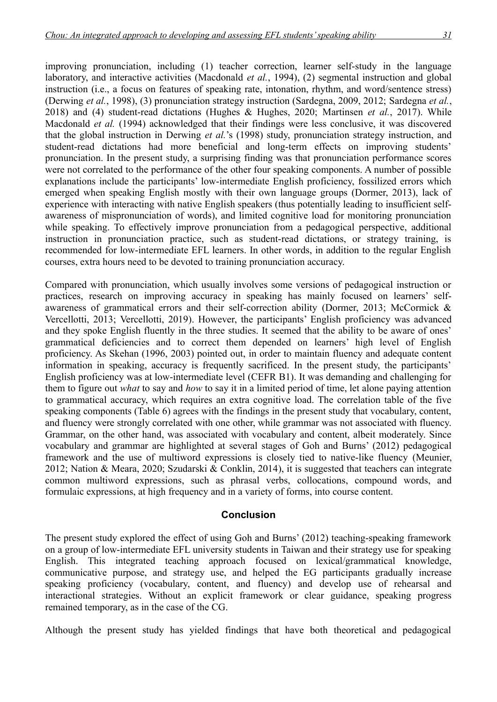improving pronunciation, including (1) teacher correction, learner self-study in the language laboratory, and interactive activities (Macdonald *et al.*, 1994), (2) segmental instruction and global instruction (i.e., a focus on features of speaking rate, intonation, rhythm, and word/sentence stress) (Derwing *et al.*, 1998), (3) pronunciation strategy instruction (Sardegna, 2009, 2012; Sardegna *et al.*, 2018) and (4) student-read dictations (Hughes & Hughes, 2020; Martinsen *et al.*, 2017). While Macdonald *et al.* (1994) acknowledged that their findings were less conclusive, it was discovered that the global instruction in Derwing *et al.*'s (1998) study, pronunciation strategy instruction, and student-read dictations had more beneficial and long-term effects on improving students' pronunciation. In the present study, a surprising finding was that pronunciation performance scores were not correlated to the performance of the other four speaking components. A number of possible explanations include the participants' low-intermediate English proficiency, fossilized errors which emerged when speaking English mostly with their own language groups (Dormer, 2013), lack of experience with interacting with native English speakers (thus potentially leading to insufficient selfawareness of mispronunciation of words), and limited cognitive load for monitoring pronunciation while speaking. To effectively improve pronunciation from a pedagogical perspective, additional instruction in pronunciation practice, such as student-read dictations, or strategy training, is recommended for low-intermediate EFL learners. In other words, in addition to the regular English courses, extra hours need to be devoted to training pronunciation accuracy.

Compared with pronunciation, which usually involves some versions of pedagogical instruction or practices, research on improving accuracy in speaking has mainly focused on learners' selfawareness of grammatical errors and their self-correction ability (Dormer, 2013; McCormick & Vercellotti, 2013; Vercellotti, 2019). However, the participants' English proficiency was advanced and they spoke English fluently in the three studies. It seemed that the ability to be aware of ones' grammatical deficiencies and to correct them depended on learners' high level of English proficiency. As Skehan (1996, 2003) pointed out, in order to maintain fluency and adequate content information in speaking, accuracy is frequently sacrificed. In the present study, the participants' English proficiency was at low-intermediate level (CEFR B1). It was demanding and challenging for them to figure out *what* to say and *how* to say it in a limited period of time, let alone paying attention to grammatical accuracy, which requires an extra cognitive load. The correlation table of the five speaking components (Table 6) agrees with the findings in the present study that vocabulary, content, and fluency were strongly correlated with one other, while grammar was not associated with fluency. Grammar, on the other hand, was associated with vocabulary and content, albeit moderately. Since vocabulary and grammar are highlighted at several stages of Goh and Burns' (2012) pedagogical framework and the use of multiword expressions is closely tied to native-like fluency (Meunier, 2012; Nation & Meara, 2020; Szudarski & Conklin, 2014), it is suggested that teachers can integrate common multiword expressions, such as phrasal verbs, collocations, compound words, and formulaic expressions, at high frequency and in a variety of forms, into course content.

#### **Conclusion**

The present study explored the effect of using Goh and Burns' (2012) teaching-speaking framework on a group of low-intermediate EFL university students in Taiwan and their strategy use for speaking English. This integrated teaching approach focused on lexical/grammatical knowledge, communicative purpose, and strategy use, and helped the EG participants gradually increase speaking proficiency (vocabulary, content, and fluency) and develop use of rehearsal and interactional strategies. Without an explicit framework or clear guidance, speaking progress remained temporary, as in the case of the CG.

Although the present study has yielded findings that have both theoretical and pedagogical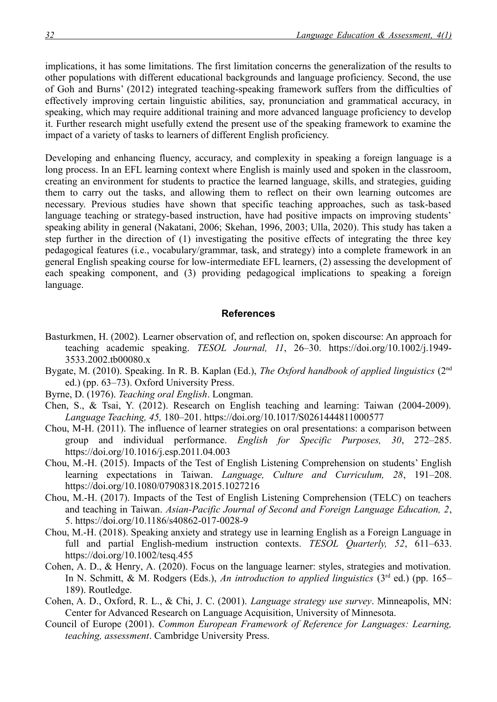implications, it has some limitations. The first limitation concerns the generalization of the results to other populations with different educational backgrounds and language proficiency. Second, the use of Goh and Burns' (2012) integrated teaching-speaking framework suffers from the difficulties of effectively improving certain linguistic abilities, say, pronunciation and grammatical accuracy, in speaking, which may require additional training and more advanced language proficiency to develop it. Further research might usefully extend the present use of the speaking framework to examine the impact of a variety of tasks to learners of different English proficiency.

Developing and enhancing fluency, accuracy, and complexity in speaking a foreign language is a long process. In an EFL learning context where English is mainly used and spoken in the classroom, creating an environment for students to practice the learned language, skills, and strategies, guiding them to carry out the tasks, and allowing them to reflect on their own learning outcomes are necessary. Previous studies have shown that specific teaching approaches, such as task-based language teaching or strategy-based instruction, have had positive impacts on improving students' speaking ability in general (Nakatani, 2006; Skehan, 1996, 2003; Ulla, 2020). This study has taken a step further in the direction of (1) investigating the positive effects of integrating the three key pedagogical features (i.e., vocabulary/grammar, task, and strategy) into a complete framework in an general English speaking course for low-intermediate EFL learners, (2) assessing the development of each speaking component, and (3) providing pedagogical implications to speaking a foreign language.

#### **References**

- Basturkmen, H. (2002). Learner observation of, and reflection on, spoken discourse: An approach for teaching academic speaking. *TESOL Journal, 11*, 26–30. [https://doi.org/10.1002/j.1949-](https://doi.org/10.1002/j.1949-3533.2002.tb00080.x) [3533.2002.tb00080.x](https://doi.org/10.1002/j.1949-3533.2002.tb00080.x)
- Bygate, M. (2010). Speaking. In R. B. Kaplan (Ed.), *The Oxford handbook of applied linguistics* (2<sup>nd</sup>) ed.) (pp. 63–73). Oxford University Press.
- Byrne, D. (1976). *Teaching oral English*. Longman.
- Chen, S., & Tsai, Y. (2012). Research on English teaching and learning: Taiwan (2004-2009). *Language Teaching, 45,* 180–201. <https://doi.org/10.1017/S0261444811000577>
- Chou, M-H. (2011). The influence of learner strategies on oral presentations: a comparison between group and individual performance. *English for Specific Purposes, 30*, 272–285. <https://doi.org/10.1016/j.esp.2011.04.003>
- Chou, M.-H. (2015). Impacts of the Test of English Listening Comprehension on students' English learning expectations in Taiwan. *Language, Culture and Curriculum, 28*, 191–208. <https://doi.org/10.1080/07908318.2015.1027216>
- Chou, M.-H. (2017). Impacts of the Test of English Listening Comprehension (TELC) on teachers and teaching in Taiwan. *Asian-Pacific Journal of Second and Foreign Language Education, 2*, 5.<https://doi.org/10.1186/s40862-017-0028-9>
- Chou, M.-H. (2018). Speaking anxiety and strategy use in learning English as a Foreign Language in full and partial English-medium instruction contexts. *TESOL Quarterly, 52*, 611–633. <https://doi.org/10.1002/tesq.455>
- Cohen, A. D., & Henry, A. (2020). Focus on the language learner: styles, strategies and motivation. In N. Schmitt, & M. Rodgers (Eds.), *An introduction to applied linguistics* (3<sup>rd</sup> ed.) (pp. 165– 189). Routledge.
- Cohen, A. D., Oxford, R. L., & Chi, J. C. (2001). *Language strategy use survey*. Minneapolis, MN: Center for Advanced Research on Language Acquisition, University of Minnesota.
- Council of Europe (2001). *Common European Framework of Reference for Languages: Learning, teaching, assessment*. Cambridge University Press.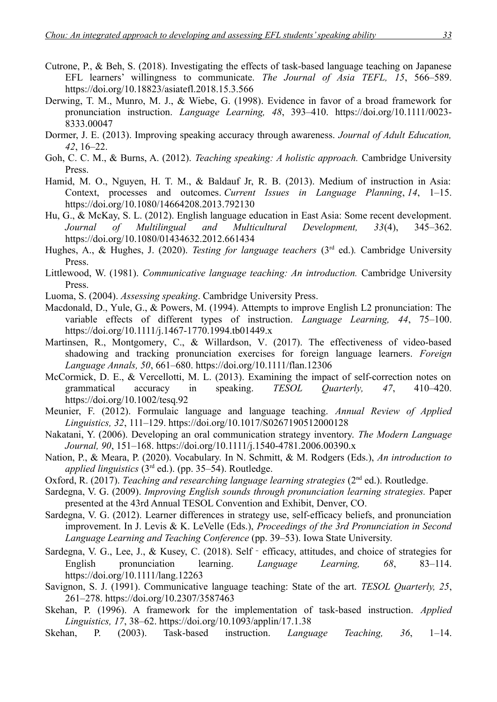- Cutrone, P., & Beh, S. (2018). Investigating the effects of task-based language teaching on Japanese EFL learners' willingness to communicate. *The Journal of Asia TEFL, 15*, 566–589. <https://doi.org/10.18823/asiatefl.2018.15.3.566>
- Derwing, T. M., Munro, M. J., & Wiebe, G. (1998). Evidence in favor of a broad framework for pronunciation instruction. *Language Learning, 48*, 393–410. [https://doi.org/10.1111/0023-](https://doi.org/10.1111/0023-8333.00047) [8333.00047](https://doi.org/10.1111/0023-8333.00047)
- Dormer, J. E. (2013). Improving speaking accuracy through awareness. *Journal of Adult Education, 42*, 16–22.
- Goh, C. C. M., & Burns, A. (2012). *Teaching speaking: A holistic approach.* Cambridge University Press.
- Hamid, M. O., Nguyen, H. T. M., & Baldauf Jr, R. B. (2013). Medium of instruction in Asia: Context, processes and outcomes. *Current Issues in Language Planning*, *14*, 1–15. <https://doi.org/10.1080/14664208.2013.792130>
- Hu, G., & McKay, S. L. (2012). English language education in East Asia: Some recent development. *Journal of Multilingual and Multicultural Development, 33*(4), 345–362. <https://doi.org/10.1080/01434632.2012.661434>
- Hughes, A., & Hughes, J. (2020). *Testing for language teachers* (3<sup>rd</sup> ed.). Cambridge University Press.
- Littlewood, W. (1981). *Communicative language teaching: An introduction.* Cambridge University Press.
- Luoma, S. (2004). *Assessing speaking*. Cambridge University Press.
- Macdonald, D., Yule, G., & Powers, M. (1994). Attempts to improve English L2 pronunciation: The variable effects of different types of instruction. *Language Learning, 44*, 75–100. <https://doi.org/10.1111/j.1467-1770.1994.tb01449.x>
- Martinsen, R., Montgomery, C., & Willardson, V. (2017). The effectiveness of video-based shadowing and tracking pronunciation exercises for foreign language learners. *Foreign Language Annals, 50*, 661–680.<https://doi.org/10.1111/flan.12306>
- McCormick, D. E., & Vercellotti, M. L. (2013). Examining the impact of self-correction notes on grammatical accuracy in speaking. *TESOL Quarterly, 47*, 410–420. <https://doi.org/10.1002/tesq.92>
- Meunier, F. (2012). Formulaic language and language teaching. *Annual Review of Applied Linguistics, 32*, 111–129. <https://doi.org/10.1017/S0267190512000128>
- Nakatani, Y. (2006). Developing an oral communication strategy inventory. *The Modern Language Journal, 90*, 151–168.<https://doi.org/10.1111/j.1540-4781.2006.00390.x>
- Nation, P., & Meara, P. (2020). Vocabulary. In N. Schmitt, & M. Rodgers (Eds.), *An introduction to applied linguistics* (3rd ed.). (pp. 35–54). Routledge.
- Oxford, R. (2017). *Teaching and researching language learning strategies* (2<sup>nd</sup> ed.). Routledge.
- Sardegna, V. G. (2009). *Improving English sounds through pronunciation learning strategies.* Paper presented at the 43rd Annual TESOL Convention and Exhibit, Denver, CO.
- Sardegna, V. G. (2012). Learner differences in strategy use, self-efficacy beliefs, and pronunciation improvement. In J. Levis & K. LeVelle (Eds.), *Proceedings of the 3rd Pronunciation in Second Language Learning and Teaching Conference* (pp. 39–53). Iowa State University.
- Sardegna, V. G., Lee, J., & Kusey, C. (2018). Self efficacy, attitudes, and choice of strategies for English pronunciation learning. *Language Learning, 68*, 83–114. <https://doi.org/10.1111/lang.12263>
- Savignon, S. J. (1991). Communicative language teaching: State of the art. *TESOL Quarterly, 25*, 261–278.<https://doi.org/10.2307/3587463>
- Skehan, P. (1996). A framework for the implementation of task-based instruction. *Applied Linguistics, 17*, 38–62. <https://doi.org/10.1093/applin/17.1.38>
- Skehan, P. (2003). Task-based instruction. *Language Teaching, 36*, 1–14.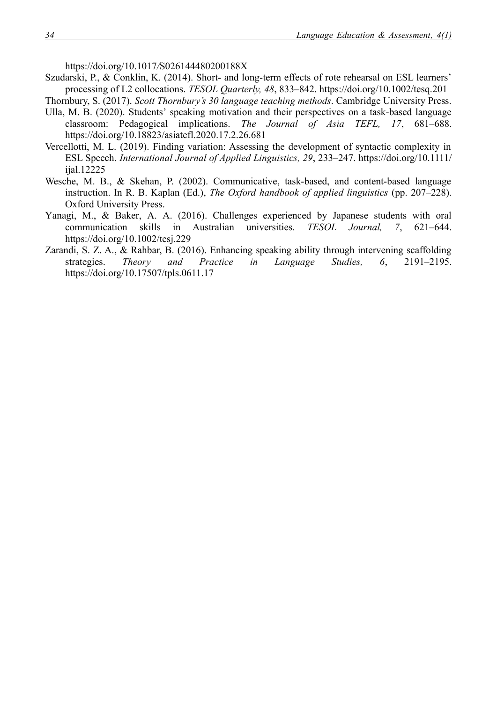[https://doi.org/10.1017](https://doi.org/10.1017/S026144480200188X)*[/](https://doi.org/10.1017/S026144480200188X)*[S026144480200188X](https://doi.org/10.1017/S026144480200188X)

Szudarski, P., & Conklin, K. (2014). Short- and long-term effects of rote rehearsal on ESL learners' processing of L2 collocations. *TESOL Quarterly, 48*, 833–842.<https://doi.org/10.1002/tesq.201>

Thornbury, S. (2017). *Scott Thornbury's 30 language teaching methods*. Cambridge University Press.

- Ulla, M. B. (2020). Students' speaking motivation and their perspectives on a task-based language classroom: Pedagogical implications. *The Journal of Asia TEFL, 17*, 681–688. <https://doi.org/10.18823/asiatefl.2020.17.2.26.681>
- Vercellotti, M. L. (2019). Finding variation: Assessing the development of syntactic complexity in ESL Speech. *International Journal of Applied Linguistics, 29*, 233–247. [https://doi.org/10.1111/](https://doi.org/10.1111/ijal.12225) [ijal.12225](https://doi.org/10.1111/ijal.12225)
- Wesche, M. B., & Skehan, P. (2002). Communicative, task-based, and content-based language instruction. In R. B. Kaplan (Ed.), *The Oxford handbook of applied linguistics* (pp. 207–228). Oxford University Press.
- Yanagi, M., & Baker, A. A. (2016). Challenges experienced by Japanese students with oral communication skills in Australian universities. *TESOL Journal, 7*, 621–644. <https://doi.org/10.1002/tesj.229>
- Zarandi, S. Z. A., & Rahbar, B. (2016). Enhancing speaking ability through intervening scaffolding strategies. *Theory and Practice in Language Studies, 6*, 2191–2195. <https://doi.org/10.17507/tpls.0611.17>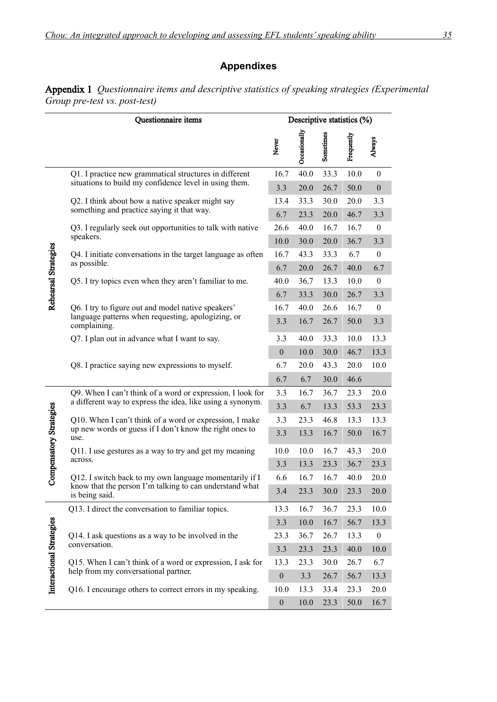# **Appendixes**

Appendix 1 *Questionnaire items and descriptive statistics of speaking strategies (Experimental Group pre-test vs. post-test)*

|                          | Questionnaire items                                                                                      |                  |              | Descriptive statistics (%) |            |                  |
|--------------------------|----------------------------------------------------------------------------------------------------------|------------------|--------------|----------------------------|------------|------------------|
|                          |                                                                                                          | Never            | Occasionally | Sometimes                  | Frequently | Always           |
|                          | Q1. I practice new grammatical structures in different                                                   | 16.7             | 40.0         | 33.3                       | 10.0       | $\boldsymbol{0}$ |
|                          | situations to build my confidence level in using them.                                                   | 3.3              | 20.0         | 26.7                       | 50.0       | $\boldsymbol{0}$ |
|                          | Q2. I think about how a native speaker might say                                                         | 13.4             | 33.3         | 30.0                       | 20.0       | 3.3              |
|                          | something and practice saying it that way.                                                               | 6.7              | 23.3         | 20.0                       | 46.7       | 3.3              |
|                          | Q3. I regularly seek out opportunities to talk with native                                               | 26.6             | 40.0         | 16.7                       | 16.7       | $\boldsymbol{0}$ |
|                          | speakers.                                                                                                | 10.0             | 30.0         | 20.0                       | 36.7       | 3.3              |
|                          | Q4. I initiate conversations in the target language as often<br>as possible.                             | 16.7             | 43.3         | 33.3                       | 6.7        | $\boldsymbol{0}$ |
| Rehearsal Strategies     |                                                                                                          | 6.7              | 20.0         | 26.7                       | 40.0       | 6.7              |
|                          | Q5. I try topics even when they aren't familiar to me.                                                   | 40.0             | 36.7         | 13.3                       | 10.0       | $\boldsymbol{0}$ |
|                          |                                                                                                          | 6.7              | 33.3         | 30.0                       | 26.7       | 3.3              |
|                          | Q6. I try to figure out and model native speakers'<br>language patterns when requesting, apologizing, or | 16.7             | 40.0         | 26.6                       | 16.7       | $\boldsymbol{0}$ |
|                          | complaining.                                                                                             | 3.3              | 16.7         | 26.7                       | 50.0       | 3.3              |
|                          | Q7. I plan out in advance what I want to say.                                                            | 3.3              | 40.0         | 33.3                       | 10.0       | 13.3             |
|                          |                                                                                                          | $\boldsymbol{0}$ | 10.0         | 30.0                       | 46.7       | 13.3             |
|                          | Q8. I practice saying new expressions to myself.                                                         | 6.7              | 20.0         | 43.3                       | 20.0       | 10.0             |
|                          |                                                                                                          | 6.7              | 6.7          | 30.0                       | 46.6       |                  |
|                          | Q9. When I can't think of a word or expression, I look for                                               | 3.3              | 16.7         | 36.7                       | 23.3       | 20.0             |
|                          | a different way to express the idea, like using a synonym.                                               | 3.3              | 6.7          | 13.3                       | 53.3       | 23.3             |
|                          | Q10. When I can't think of a word or expression, I make                                                  | 3.3              | 23.3         | 46.8                       | 13.3       | 13.3             |
| Compensatory Strategies  | up new words or guess if I don't know the right ones to<br>use.                                          | 3.3              | 13.3         | 16.7                       | 50.0       | 16.7             |
|                          | Q11. I use gestures as a way to try and get my meaning                                                   | 10.0             | 10.0         | 16.7                       | 43.3       | 20.0             |
|                          | across.                                                                                                  | 3.3              | 13.3         | 23.3                       | 36.7       | 23.3             |
|                          | Q12. I switch back to my own language momentarily if I                                                   | 6.6              | 16.7         | 16.7                       | 40.0       | 20.0             |
|                          | know that the person I'm talking to can understand what<br>is being said.                                | 3.4              | 23.3         | 30.0                       | 23.3       | 20.0             |
|                          | Q13. I direct the conversation to familiar topics.                                                       | 13.3             | 16.7         | 36.7                       | 23.3       | 10.0             |
|                          |                                                                                                          | 3.3              | 10.0         | 16.7                       | 56.7       | 13.3             |
|                          | Q14. I ask questions as a way to be involved in the<br>conversation.                                     | 23.3             | 36.7         | 26.7                       | 13.3       | $\boldsymbol{0}$ |
|                          |                                                                                                          | 3.3              | 23.3         | 23.3                       | 40.0       | 10.0             |
| Interactional Strategies | Q15. When I can't think of a word or expression, I ask for<br>help from my conversational partner.       | 13.3             | 23.3         | 30.0                       | 26.7       | 6.7              |
|                          |                                                                                                          | $\boldsymbol{0}$ | 3.3          | 26.7                       | 56.7       | 13.3             |
|                          | Q16. I encourage others to correct errors in my speaking.                                                | 10.0             | 13.3         | 33.4                       | 23.3       | 20.0             |
|                          |                                                                                                          | $\boldsymbol{0}$ | $10.0\,$     | 23.3                       | 50.0       | 16.7             |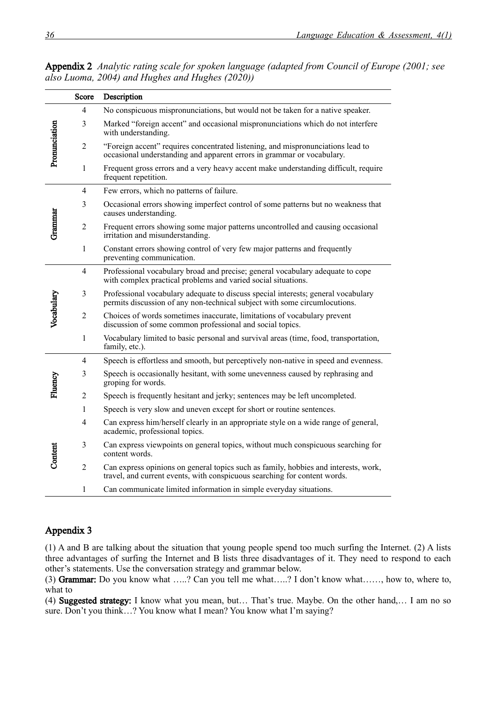|               | Score          | Description                                                                                                                                                      |
|---------------|----------------|------------------------------------------------------------------------------------------------------------------------------------------------------------------|
|               | 4              | No conspicuous mispronunciations, but would not be taken for a native speaker.                                                                                   |
|               | 3              | Marked "foreign accent" and occasional mispronunciations which do not interfere<br>with understanding.                                                           |
| Pronunciation | $\overline{2}$ | "Foreign accent" requires concentrated listening, and mispronunciations lead to<br>occasional understanding and apparent errors in grammar or vocabulary.        |
|               | 1              | Frequent gross errors and a very heavy accent make understanding difficult, require<br>frequent repetition.                                                      |
|               | 4              | Few errors, which no patterns of failure.                                                                                                                        |
|               | 3              | Occasional errors showing imperfect control of some patterns but no weakness that<br>causes understanding.                                                       |
| Grammar       | $\overline{2}$ | Frequent errors showing some major patterns uncontrolled and causing occasional<br>irritation and misunderstanding.                                              |
|               | $\mathbf{1}$   | Constant errors showing control of very few major patterns and frequently<br>preventing communication.                                                           |
|               | $\overline{4}$ | Professional vocabulary broad and precise; general vocabulary adequate to cope<br>with complex practical problems and varied social situations.                  |
| Vocabulary    | 3              | Professional vocabulary adequate to discuss special interests; general vocabulary<br>permits discussion of any non-technical subject with some circumlocutions.  |
|               | $\overline{2}$ | Choices of words sometimes inaccurate, limitations of vocabulary prevent<br>discussion of some common professional and social topics.                            |
|               | 1              | Vocabulary limited to basic personal and survival areas (time, food, transportation,<br>family, etc.).                                                           |
|               | $\overline{4}$ | Speech is effortless and smooth, but perceptively non-native in speed and evenness.                                                                              |
| Fluency       | 3              | Speech is occasionally hesitant, with some unevenness caused by rephrasing and<br>groping for words.                                                             |
|               | $\overline{2}$ | Speech is frequently hesitant and jerky; sentences may be left uncompleted.                                                                                      |
|               | $\mathbf{1}$   | Speech is very slow and uneven except for short or routine sentences.                                                                                            |
|               | $\overline{4}$ | Can express him/herself clearly in an appropriate style on a wide range of general,<br>academic, professional topics.                                            |
| Content       | 3              | Can express viewpoints on general topics, without much conspicuous searching for<br>content words.                                                               |
|               | $\overline{2}$ | Can express opinions on general topics such as family, hobbies and interests, work,<br>travel, and current events, with conspicuous searching for content words. |
|               | 1              | Can communicate limited information in simple everyday situations.                                                                                               |

Appendix 2 *Analytic rating scale for spoken language (adapted from Council of Europe (2001; see also Luoma, 2004) and Hughes and Hughes (2020))*

# Appendix 3

(1) A and B are talking about the situation that young people spend too much surfing the Internet. (2) A lists three advantages of surfing the Internet and B lists three disadvantages of it. They need to respond to each other's statements. Use the conversation strategy and grammar below.

(3) Grammar: Do you know what …..? Can you tell me what…..? I don't know what……, how to, where to, what to

(4) Suggested strategy: I know what you mean, but… That's true. Maybe. On the other hand,… I am no so sure. Don't you think...? You know what I mean? You know what I'm saying?